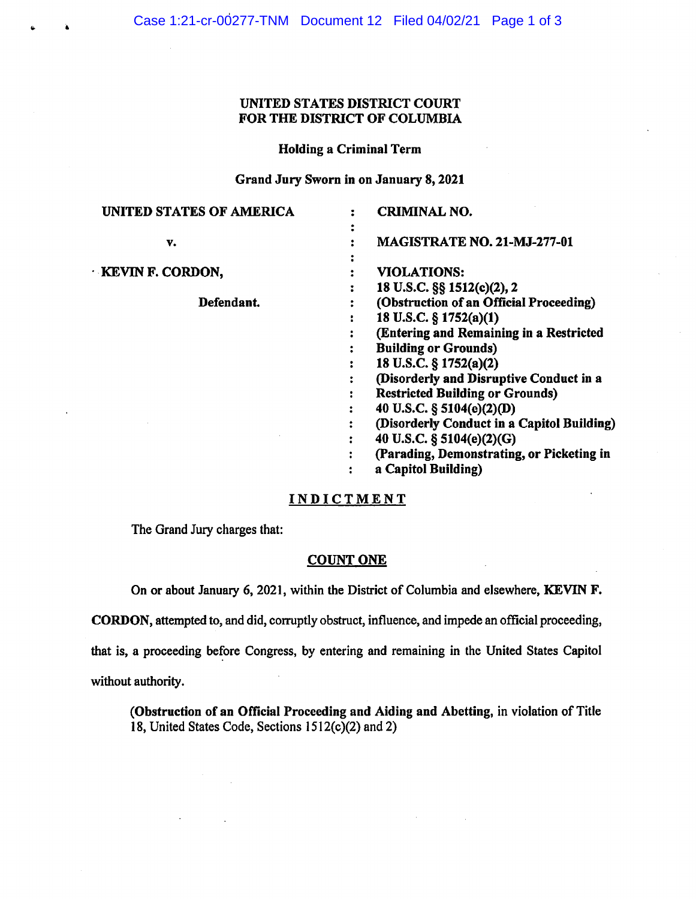# UNITED STATES DISTRICT COURT FOR THE DISTRICT OF COLUMBIA

## Holding a Criminal Term

# Grand Jury Sworn in on January 8, 2021

| <b>UNITED STATES OF AMERICA</b> | <b>CRIMINAL NO.</b>                        |
|---------------------------------|--------------------------------------------|
|                                 |                                            |
| v.                              | MAGISTRATE NO. 21-MJ-277-01                |
|                                 |                                            |
| <b>KEVIN F. CORDON,</b>         | <b>VIOLATIONS:</b>                         |
|                                 | 18 U.S.C. §§ 1512(c)(2), 2                 |
| Defendant.                      | (Obstruction of an Official Proceeding)    |
|                                 | 18 U.S.C. § 1752(a)(1)                     |
|                                 | (Entering and Remaining in a Restricted    |
|                                 | <b>Building or Grounds)</b>                |
|                                 | 18 U.S.C. § 1752(a)(2)                     |
|                                 | (Disorderly and Disruptive Conduct in a    |
|                                 | <b>Restricted Building or Grounds)</b>     |
|                                 | 40 U.S.C. § 5104(e)(2)(D)                  |
|                                 | (Disorderly Conduct in a Capitol Building) |
|                                 | 40 U.S.C. § 5104(e)(2)(G)                  |
|                                 | (Parading, Demonstrating, or Picketing in  |
|                                 | a Capitol Building)                        |

#### INDICTMENT

The Grand Jury charges that:

### COUNT ONE

On or about January 6, 2021, within the District of Columbia and elsewhere, KEVIN F.

CORDON, attempted to, and did, corruptly obstruct, influence, and impede an official proceeding,

that is, a proceeding before Congress, by entering and remaining in the United States Capitol

without authority.

(Obstruction of an Official Proceeding and Aiding and Abetting, in violation of Title 18, United States Code, Sections  $1512(c)(2)$  and 2)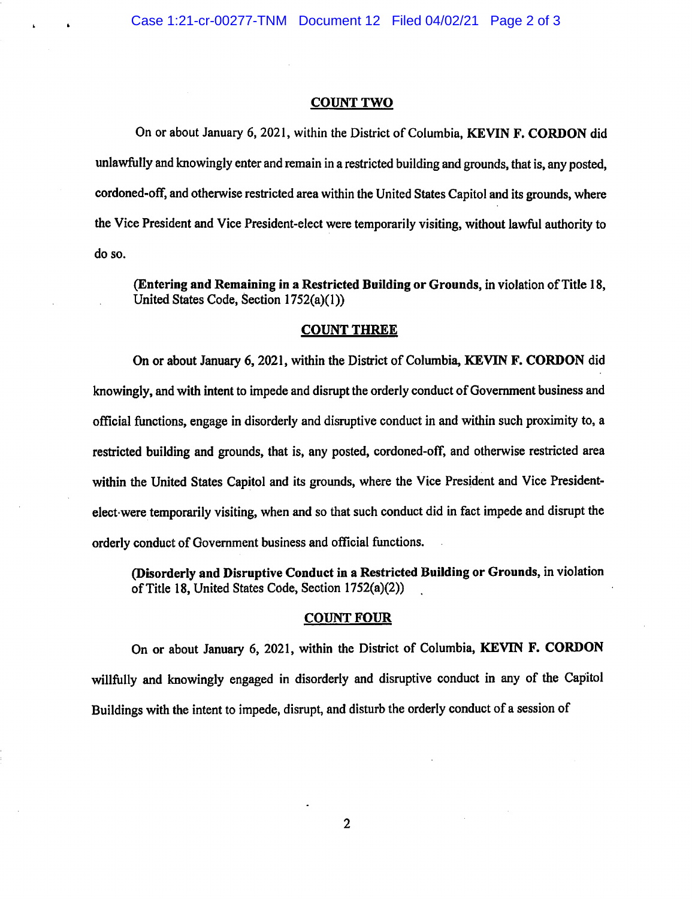### **COUNT TWO**

On or about January 6, 2021, within the District of Columbia, **KEVIN F. CORDON** did unlawfully and knowingly enter and remain in a restricted building and grounds, that is, any posted, cordoned-off, and otherwise restricted area within the United States Capitol and its grounds, where the Vice President and Vice President-elect were temporarily visiting, without lawful authority to doso.

(Entering and Remaining in a Restricted Building or Grounds, in violation of Title 18, United States Code, Section 1752(a)(l))

#### **COUNT THREE**

On or about January 6, 2021, within the District of Columbia, **KEVIN F. CORDON** did knowingly, and with intent to impede and disrupt the orderly conduct of Government business and official functions, engage in disorderly and disruptive conduct in and within such proximity to, <sup>a</sup> restricted building and grounds, that is, any posted, cordoned-off, and otherwise restricted area within the United States Capitol and its grounds, where the Vice President and Vice Presidentelect•were temporarily visiting, when and so that such conduct did in fact impede and disrupt the orderly conduct of Government business and official functions.

**(Disorderly and Disruptive Conduct in a Restricted Building or Grounds,** in violation of Title 18, United States Code, Section 1752(a)(2))

#### **COUNT FOUR**

On or about January 6, 2021, within the District of Columbia, **KEVIN F. CORDON**  willfully and knowingly engaged in disorderly and disruptive conduct in any of the Capitol Buildings with the intent to impede, disrupt, and disturb the orderly conduct of a session of

2